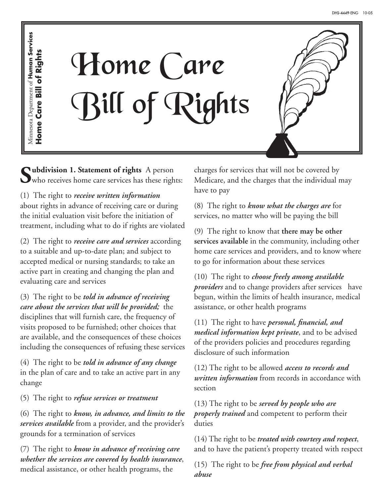Minnesota Department of Human Services Minnesota Department of **Human Services** Home Care Bill of Rights **Home Care Bill of Rights**



**Subdivision 1. Statement of rights** A person who receives home care services has these rights:

(1) The right to *receive written information* about rights in advance of receiving care or during the initial evaluation visit before the initiation of treatment, including what to do if rights are violated

(2) The right to *receive care and services* according to a suitable and up-to-date plan; and subject to accepted medical or nursing standards; to take an active part in creating and changing the plan and evaluating care and services

(3) The right to be *told in advance of receiving care about the services that will be provided;* the disciplines that will furnish care, the frequency of visits proposed to be furnished; other choices that are available, and the consequences of these choices including the consequences of refusing these services

(4) The right to be *told in advance of any change* in the plan of care and to take an active part in any change

(5) The right to *refuse services or treatment*

(6) The right to *know, in advance, and limits to the services available* from a provider, and the provider's grounds for a termination of services

(7) The right to *know in advance of receiving care whether the services are covered by health insurance*, medical assistance, or other health programs, the

charges for services that will not be covered by Medicare, and the charges that the individual may have to pay

(8) The right to *know what the charges are* for services, no matter who will be paying the bill

(9) The right to know that **there may be other services available** in the community, including other home care services and providers, and to know where to go for information about these services

(10) The right to *choose freely among available providers* and to change providers after services have begun, within the limits of health insurance, medical assistance, or other health programs

(11) The right to have *personal, financial, and medical information kept private*, and to be advised of the providers policies and procedures regarding disclosure of such information

(12) The right to be allowed *access to records and written information* from records in accordance with section

(13) The right to be *served by people who are properly trained* and competent to perform their duties

(14) The right to be *treated with courtesy and respect*, and to have the patient's property treated with respect

(15) The right to be *free from physical and verbal abuse*